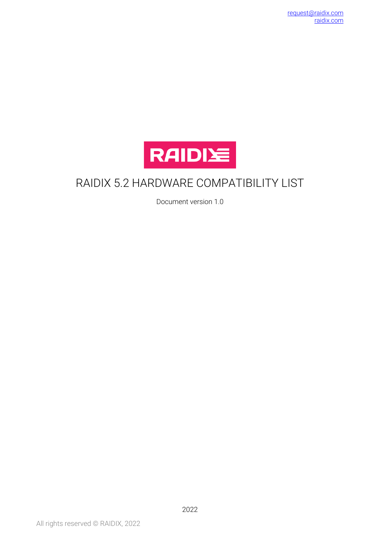

#### RAIDIX 5.2 HARDWARE COMPATIBILITY LIST

Document version 1.0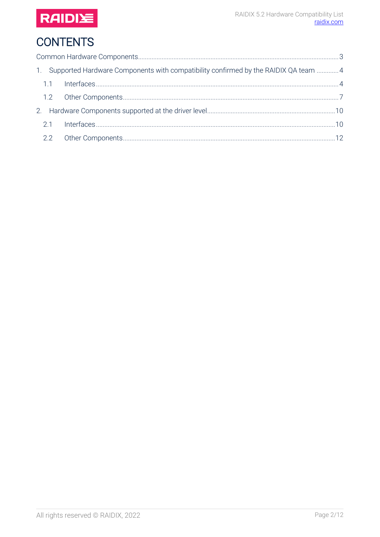

# **CONTENTS**

| 1. Supported Hardware Components with compatibility confirmed by the RAIDIX QA team 4 |  |
|---------------------------------------------------------------------------------------|--|
|                                                                                       |  |
|                                                                                       |  |
|                                                                                       |  |
|                                                                                       |  |
|                                                                                       |  |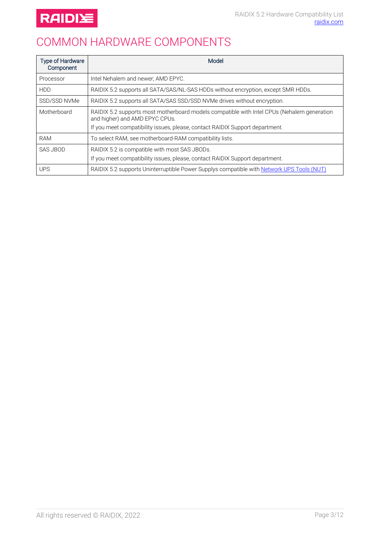

### <span id="page-2-0"></span>COMMON HARDWARE COMPONENTS

| <b>Type of Hardware</b><br>Component | Model                                                                                                                                                                                                        |  |  |
|--------------------------------------|--------------------------------------------------------------------------------------------------------------------------------------------------------------------------------------------------------------|--|--|
| Processor                            | Intel Nehalem and newer; AMD EPYC.                                                                                                                                                                           |  |  |
| <b>HDD</b>                           | RAIDIX 5.2 supports all SATA/SAS/NL-SAS HDDs without encryption, except SMR HDDs.                                                                                                                            |  |  |
| SSD/SSD NVMe                         | RAIDIX 5.2 supports all SATA/SAS SSD/SSD NVMe drives without encryption.                                                                                                                                     |  |  |
| Motherboard                          | RAIDIX 5.2 supports most motherboard models compatible with Intel CPUs (Nehalem generation<br>and higher) and AMD EPYC CPUs.<br>If you meet compatibility issues, please, contact RAIDIX Support department. |  |  |
| <b>RAM</b>                           | To select RAM, see motherboard-RAM compatibility lists.                                                                                                                                                      |  |  |
| SAS JBOD                             | RAIDIX 5.2 is compatible with most SAS JBODs.<br>If you meet compatibility issues, please, contact RAIDIX Support department.                                                                                |  |  |
| <b>UPS</b>                           | RAIDIX 5.2 supports Uninterruptible Power Supplys compatible with Network UPS Tools (NUT)                                                                                                                    |  |  |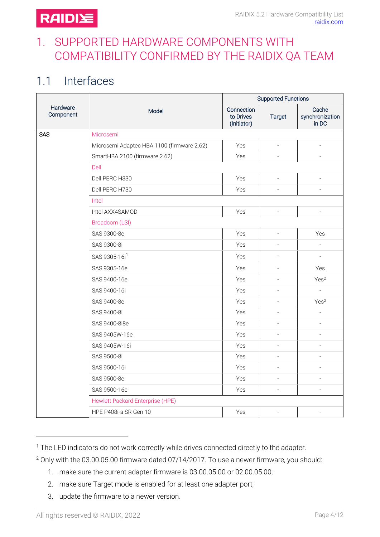#### <span id="page-3-0"></span>1. SUPPORTED HARDWARE COMPONENTS WITH COMPATIBILITY CONFIRMED BY THE RAIDIX QA TEAM

### <span id="page-3-1"></span>1.1 Interfaces

|                       | <b>Model</b>                               | <b>Supported Functions</b>             |                          |                                   |
|-----------------------|--------------------------------------------|----------------------------------------|--------------------------|-----------------------------------|
| Hardware<br>Component |                                            | Connection<br>to Drives<br>(Initiator) | <b>Target</b>            | Cache<br>synchronization<br>in DC |
| <b>SAS</b>            | Microsemi                                  |                                        |                          |                                   |
|                       | Microsemi Adaptec HBA 1100 (firmware 2.62) | Yes                                    |                          |                                   |
|                       | SmartHBA 2100 (firmware 2.62)              | Yes                                    | $\overline{\phantom{a}}$ | $\overline{\phantom{a}}$          |
|                       | Dell                                       |                                        |                          |                                   |
|                       | Dell PERC H330                             | Yes                                    | $\overline{\phantom{a}}$ | $\overline{a}$                    |
|                       | Dell PERC H730                             | Yes                                    |                          |                                   |
|                       | Intel                                      |                                        |                          |                                   |
|                       | Intel AXX4SAMOD                            | Yes                                    | $\centerdot$             |                                   |
|                       | Broadcom (LSI)                             |                                        |                          |                                   |
|                       | SAS 9300-8e                                | Yes                                    | $\centerdot$             | Yes                               |
|                       | SAS 9300-8i                                | Yes                                    | $\overline{a}$           | $\overline{a}$                    |
|                       | SAS 9305-16i <sup>1</sup>                  | Yes                                    | $\overline{a}$           | $\equiv$                          |
|                       | SAS 9305-16e                               | Yes                                    | $\overline{a}$           | Yes                               |
|                       | SAS 9400-16e                               | Yes                                    | $\overline{a}$           | Yes <sup>2</sup>                  |
|                       | SAS 9400-16i                               | Yes                                    | $\overline{a}$           |                                   |
|                       | SAS 9400-8e                                | Yes                                    |                          | Yes <sup>2</sup>                  |
|                       | SAS 9400-8i                                | Yes                                    |                          | $\overline{\phantom{a}}$          |
|                       | SAS 9400-8i8e                              | Yes                                    |                          |                                   |
|                       | SAS 9405W-16e                              | Yes                                    |                          |                                   |
|                       | SAS 9405W-16i                              | Yes                                    |                          |                                   |
|                       | SAS 9500-8i                                | Yes                                    | $\overline{a}$           | $\overline{a}$                    |
|                       | SAS 9500-16i                               | Yes                                    | $\overline{a}$           | L,                                |
|                       | SAS 9500-8e                                | Yes                                    | $\overline{\phantom{a}}$ | $\overline{a}$                    |
|                       | SAS 9500-16e                               | Yes                                    |                          | $\overline{a}$                    |
|                       | <b>Hewlett Packard Enterprise (HPE)</b>    |                                        |                          |                                   |
|                       | HPE P408i-a SR Gen 10                      | Yes                                    | $\bar{\phantom{a}}$      | $\overline{a}$                    |

<sup>&</sup>lt;sup>1</sup> The LED indicators do not work correctly while drives connected directly to the adapter.

- 1. make sure the current adapter firmware is 03.00.05.00 or 02.00.05.00;
- 2. make sure Target mode is enabled for at least one adapter port;
- 3. update the firmware to a newer version.

<span id="page-3-2"></span> $\overline{\phantom{a}}$ 

<sup>2</sup> Only with the 03.00.05.00 firmware dated 07/14/2017. To use a newer firmware, you should: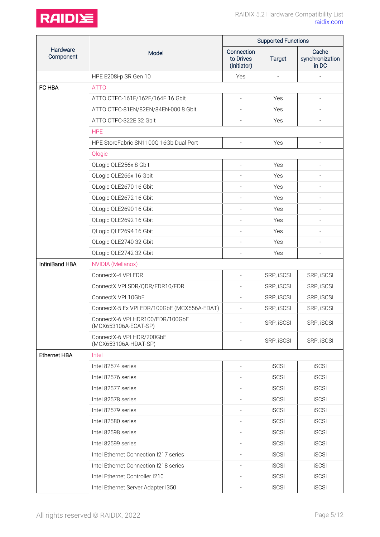

|                       | Model                                                    | <b>Supported Functions</b>             |                          |                                   |
|-----------------------|----------------------------------------------------------|----------------------------------------|--------------------------|-----------------------------------|
| Hardware<br>Component |                                                          | Connection<br>to Drives<br>(Initiator) | <b>Target</b>            | Cache<br>synchronization<br>in DC |
|                       | HPE E208i-p SR Gen 10                                    | Yes                                    | $\overline{\phantom{a}}$ |                                   |
| FC HBA                | <b>ATTO</b>                                              |                                        |                          |                                   |
|                       | ATTO CTFC-161E/162E/164E 16 Gbit                         | $\overline{a}$                         | Yes                      | $\overline{a}$                    |
|                       | ATTO CTFC-81EN/82EN/84EN-000 8 Gbit                      |                                        | Yes                      |                                   |
|                       | ATTO CTFC-322E 32 Gbit                                   |                                        | Yes                      |                                   |
|                       | <b>HPE</b>                                               |                                        |                          |                                   |
|                       | HPE StoreFabric SN1100Q 16Gb Dual Port                   | $\overline{\phantom{a}}$               | Yes                      |                                   |
|                       | Qlogic                                                   |                                        |                          |                                   |
|                       | QLogic QLE256x 8 Gbit                                    |                                        | Yes                      |                                   |
|                       | QLogic QLE266x 16 Gbit                                   |                                        | Yes                      |                                   |
|                       | QLogic QLE2670 16 Gbit                                   |                                        | Yes                      |                                   |
|                       | QLogic QLE2672 16 Gbit                                   | $\overline{\phantom{a}}$               | Yes                      | $\overline{a}$                    |
|                       | QLogic QLE2690 16 Gbit                                   |                                        | Yes                      |                                   |
|                       | QLogic QLE2692 16 Gbit                                   |                                        | Yes                      |                                   |
|                       | QLogic QLE2694 16 Gbit                                   |                                        | Yes                      |                                   |
|                       | QLogic QLE2740 32 Gbit                                   |                                        | Yes                      |                                   |
|                       | QLogic QLE2742 32 Gbit                                   |                                        | Yes                      |                                   |
| InfiniBand HBA        | <b>NVIDIA (Mellanox)</b>                                 |                                        |                          |                                   |
|                       | ConnectX-4 VPI EDR                                       |                                        | SRP, iSCSI               | SRP, iSCSI                        |
|                       | ConnectX VPI SDR/QDR/FDR10/FDR                           |                                        | SRP, iSCSI               | SRP, ISCSI                        |
|                       | ConnectX VPI 10GbE                                       | $\overline{a}$                         | SRP, iSCSI               | SRP, iSCSI                        |
|                       | ConnectX-5 Ex VPI EDR/100GbE (MCX556A-EDAT)              |                                        | SRP, iSCSI               | SRP, iSCSI                        |
|                       | ConnectX-6 VPI HDR100/EDR/100GbE<br>(MCX653106A-ECAT-SP) |                                        | SRP, iSCSI               | SRP, iSCSI                        |
|                       | ConnectX-6 VPI HDR/200GbE<br>(MCX653106A-HDAT-SP)        |                                        | SRP, iSCSI               | SRP, iSCSI                        |
| Ethernet HBA          | Intel                                                    |                                        |                          |                                   |
|                       | Intel 82574 series                                       |                                        | <b>iSCSI</b>             | <b>iSCSI</b>                      |
|                       | Intel 82576 series                                       |                                        | <b>iSCSI</b>             | <b>iSCSI</b>                      |
|                       | Intel 82577 series                                       |                                        | <b>iSCSI</b>             | <b>iSCSI</b>                      |
|                       | Intel 82578 series                                       |                                        | <b>iSCSI</b>             | <b>iSCSI</b>                      |
|                       | Intel 82579 series                                       |                                        | <b>iSCSI</b>             | <b>iSCSI</b>                      |
|                       | Intel 82580 series                                       |                                        | <b>iSCSI</b>             | <b>iSCSI</b>                      |
|                       | Intel 82598 series                                       |                                        | <b>iSCSI</b>             | <b>iSCSI</b>                      |
|                       | Intel 82599 series                                       |                                        | <b>iSCSI</b>             | <b>iSCSI</b>                      |
|                       | Intel Ethernet Connection I217 series                    | $\overline{\phantom{a}}$               | <b>iSCSI</b>             | <b>iSCSI</b>                      |
|                       | Intel Ethernet Connection I218 series                    | $\overline{a}$                         | <b>iSCSI</b>             | <b>iSCSI</b>                      |
|                       | Intel Ethernet Controller I210                           |                                        | <b>iSCSI</b>             | <b>iSCSI</b>                      |
|                       | Intel Ethernet Server Adapter I350                       |                                        | <b>iSCSI</b>             | <b>iSCSI</b>                      |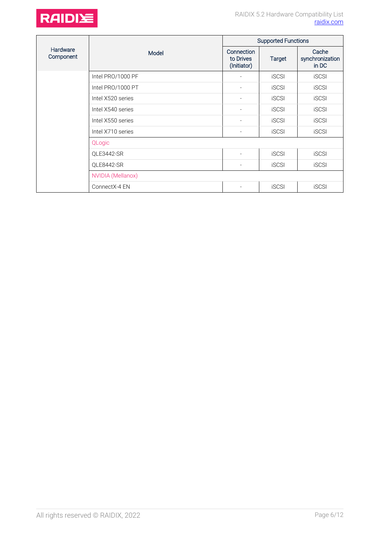



|                       | Model             | <b>Supported Functions</b>             |               |                                   |
|-----------------------|-------------------|----------------------------------------|---------------|-----------------------------------|
| Hardware<br>Component |                   | Connection<br>to Drives<br>(Initiator) | <b>Target</b> | Cache<br>synchronization<br>in DC |
|                       | Intel PRO/1000 PF |                                        | <b>iSCSI</b>  | <b>iSCSI</b>                      |
|                       | Intel PRO/1000 PT |                                        | <b>iSCSI</b>  | <b>iSCSI</b>                      |
|                       | Intel X520 series | $\qquad \qquad -$                      | <b>iSCSI</b>  | <b>iSCSI</b>                      |
|                       | Intel X540 series | $\qquad \qquad -$                      | <b>iSCSI</b>  | <b>iSCSI</b>                      |
|                       | Intel X550 series | $\overline{a}$                         | <b>iSCSI</b>  | <b>iSCSI</b>                      |
|                       | Intel X710 series | $\overline{a}$                         | <b>iSCSI</b>  | <b>iSCSI</b>                      |
|                       | QLogic            |                                        |               |                                   |
|                       | QLE3442-SR        |                                        | <b>iSCSI</b>  | <b>iSCSI</b>                      |
|                       | QLE8442-SR        | $\overline{\phantom{a}}$               | <b>iSCSI</b>  | <b>iSCSI</b>                      |
|                       | NVIDIA (Mellanox) |                                        |               |                                   |
|                       | ConnectX-4 EN     |                                        | <b>iSCSI</b>  | <b>iSCSI</b>                      |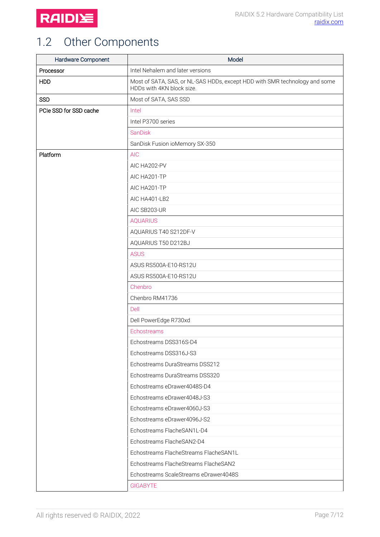

# <span id="page-6-0"></span>1.2 Other Components

| Hardware Component     | Model                                                                                                   |
|------------------------|---------------------------------------------------------------------------------------------------------|
| Processor              | Intel Nehalem and later versions                                                                        |
| <b>HDD</b>             | Most of SATA, SAS, or NL-SAS HDDs, except HDD with SMR technology and some<br>HDDs with 4KN block size. |
| <b>SSD</b>             | Most of SATA, SAS SSD                                                                                   |
| PCIe SSD for SSD cache | Intel                                                                                                   |
|                        | Intel P3700 series                                                                                      |
|                        | <b>SanDisk</b>                                                                                          |
|                        | SanDisk Fusion ioMemory SX-350                                                                          |
| Platform               | <b>AIC</b>                                                                                              |
|                        | AIC HA202-PV                                                                                            |
|                        | AIC HA201-TP                                                                                            |
|                        | AIC HA201-TP                                                                                            |
|                        | AIC HA401-LB2                                                                                           |
|                        | AIC SB203-UR                                                                                            |
|                        | <b>AQUARIUS</b>                                                                                         |
|                        | AQUARIUS T40 S212DF-V                                                                                   |
|                        | AQUARIUS T50 D212BJ                                                                                     |
|                        | <b>ASUS</b>                                                                                             |
|                        | ASUS RS500A-E10-RS12U                                                                                   |
|                        | ASUS RS500A-E10-RS12U                                                                                   |
|                        | Chenbro                                                                                                 |
|                        | Chenbro RM41736                                                                                         |
|                        | Dell                                                                                                    |
|                        | Dell PowerEdge R730xd                                                                                   |
|                        | Echostreams                                                                                             |
|                        | Echostreams DSS316S-D4                                                                                  |
|                        | Echostreams DSS316J-S3                                                                                  |
|                        | Echostreams DuraStreams DSS212                                                                          |
|                        | Echostreams DuraStreams DSS320                                                                          |
|                        | Echostreams eDrawer4048S-D4                                                                             |
|                        | Echostreams eDrawer4048J-S3                                                                             |
|                        | Echostreams eDrawer4060J-S3                                                                             |
|                        | Echostreams eDrawer4096J-S2                                                                             |
|                        | Echostreams FlacheSAN1L-D4                                                                              |
|                        | Echostreams FlacheSAN2-D4                                                                               |
|                        | Echostreams FlacheStreams FlacheSAN1L                                                                   |
|                        | Echostreams FlacheStreams FlacheSAN2                                                                    |
|                        | Echostreams ScaleStreams eDrawer4048S                                                                   |
|                        | <b>GIGABYTE</b>                                                                                         |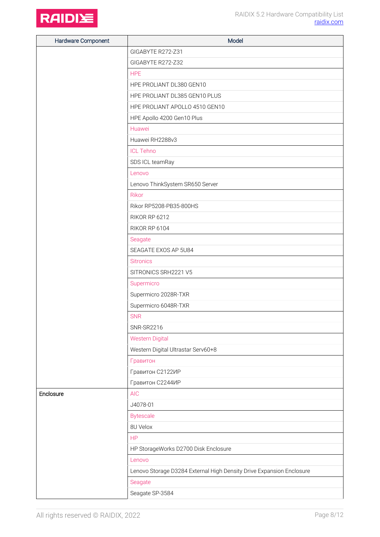

| Hardware Component | Model                                                                |
|--------------------|----------------------------------------------------------------------|
|                    | GIGABYTE R272-Z31                                                    |
|                    | GIGABYTE R272-Z32                                                    |
|                    | <b>HPE</b>                                                           |
|                    | HPE PROLIANT DL380 GEN10                                             |
|                    | HPE PROLIANT DL385 GEN10 PLUS                                        |
|                    | HPE PROLIANT APOLLO 4510 GEN10                                       |
|                    | HPE Apollo 4200 Gen10 Plus                                           |
|                    | Huawei                                                               |
|                    | Huawei RH2288v3                                                      |
|                    | <b>ICL Tehno</b>                                                     |
|                    | SDS ICL teamRay                                                      |
|                    | Lenovo                                                               |
|                    | Lenovo ThinkSystem SR650 Server                                      |
|                    | <b>Rikor</b>                                                         |
|                    | Rikor RP5208-PB35-800HS                                              |
|                    | RIKOR RP 6212                                                        |
|                    | RIKOR RP 6104                                                        |
|                    | Seagate                                                              |
|                    | SEAGATE EXOS AP 5U84                                                 |
|                    | <b>Sitronics</b>                                                     |
|                    | SITRONICS SRH2221 V5                                                 |
|                    | Supermicro                                                           |
|                    | Supermicro 2028R-TXR                                                 |
|                    | Supermicro 6048R-TXR                                                 |
|                    | <b>SNR</b>                                                           |
|                    | <b>SNR-SR2216</b>                                                    |
|                    | <b>Western Digital</b>                                               |
|                    | Western Digital Ultrastar Serv60+8                                   |
|                    | Гравитон                                                             |
|                    | Гравитон С2122ИР                                                     |
|                    | Гравитон С2244ИР                                                     |
| Enclosure          | <b>AIC</b>                                                           |
|                    | J4078-01                                                             |
|                    | <b>Bytescale</b>                                                     |
|                    | 8U Velox                                                             |
|                    | <b>HP</b>                                                            |
|                    | HP StorageWorks D2700 Disk Enclosure                                 |
|                    | Lenovo                                                               |
|                    | Lenovo Storage D3284 External High Density Drive Expansion Enclosure |
|                    | Seagate                                                              |
|                    | Seagate SP-3584                                                      |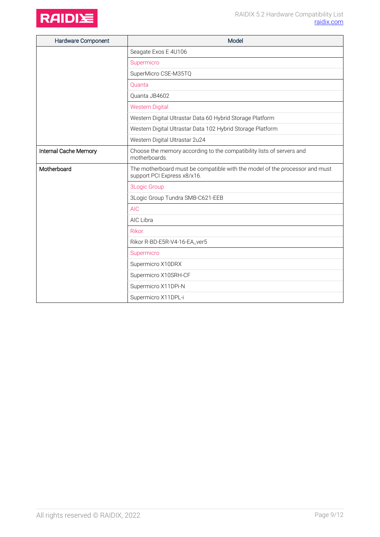

| Hardware Component    | Model                                                                                                      |
|-----------------------|------------------------------------------------------------------------------------------------------------|
|                       | Seagate Exos E 4U106                                                                                       |
|                       | Supermicro                                                                                                 |
|                       | SuperMicro CSE-M35TQ                                                                                       |
|                       | Quanta                                                                                                     |
|                       | Quanta JB4602                                                                                              |
|                       | <b>Western Digital</b>                                                                                     |
|                       | Western Digital Ultrastar Data 60 Hybrid Storage Platform                                                  |
|                       | Western Digital Ultrastar Data 102 Hybrid Storage Platform                                                 |
|                       | Western Digital Ultrastar 2u24                                                                             |
| Internal Cache Memory | Choose the memory according to the compatibility lists of servers and<br>motherboards                      |
| Motherboard           | The motherboard must be compatible with the model of the processor and must<br>support PCI Express x8/x16. |
|                       | <b>3Logic Group</b>                                                                                        |
|                       | 3Logic Group Tundra SMB-C621-EEB                                                                           |
|                       | <b>AIC</b>                                                                                                 |
|                       | AIC Libra                                                                                                  |
|                       | Rikor                                                                                                      |
|                       | Rikor R-BD-E5R-V4-16-EA_ver5                                                                               |
|                       | Supermicro                                                                                                 |
|                       | Supermicro X10DRX                                                                                          |
|                       | Supermicro X10SRH-CF                                                                                       |
|                       | Supermicro X11DPi-N                                                                                        |
|                       | Supermicro X11DPL-i                                                                                        |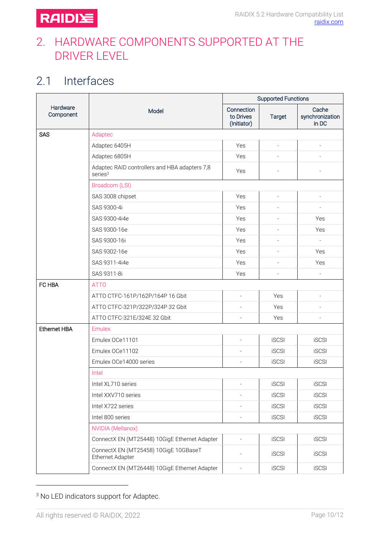#### <span id="page-9-0"></span>2. HARDWARE COMPONENTS SUPPORTED AT THE DRIVER LEVEL

## <span id="page-9-1"></span>2.1 Interfaces

|                       |                                                                      | <b>Supported Functions</b>             |                          |                                   |
|-----------------------|----------------------------------------------------------------------|----------------------------------------|--------------------------|-----------------------------------|
| Hardware<br>Component | Model                                                                | Connection<br>to Drives<br>(Initiator) | <b>Target</b>            | Cache<br>synchronization<br>in DC |
| <b>SAS</b>            | Adaptec                                                              |                                        |                          |                                   |
|                       | Adaptec 6405H                                                        | Yes                                    | $\overline{\phantom{a}}$ |                                   |
|                       | Adaptec 6805H                                                        | Yes                                    |                          |                                   |
|                       | Adaptec RAID controllers and HBA adapters 7,8<br>series <sup>3</sup> | Yes                                    |                          |                                   |
|                       | Broadcom (LSI)                                                       |                                        |                          |                                   |
|                       | SAS 3008 chipset                                                     | Yes                                    | $\overline{\phantom{a}}$ | $\overline{\phantom{a}}$          |
|                       | SAS 9300-4i                                                          | Yes                                    |                          |                                   |
|                       | SAS 9300-4i4e                                                        | Yes                                    | $\overline{a}$           | Yes                               |
|                       | SAS 9300-16e                                                         | Yes                                    |                          | Yes                               |
|                       | SAS 9300-16i                                                         | Yes                                    |                          | $\overline{\phantom{a}}$          |
|                       | SAS 9302-16e                                                         | Yes                                    |                          | Yes                               |
|                       | SAS 9311-4i4e                                                        | Yes                                    |                          | Yes                               |
|                       | SAS 9311-8i                                                          | Yes                                    | $\overline{a}$           | $\overline{\phantom{a}}$          |
| FC HBA                | <b>ATTO</b>                                                          |                                        |                          |                                   |
|                       | ATTO CTFC-161P/162P/164P 16 Gbit                                     | $\overline{\phantom{a}}$               | Yes                      | $\overline{\phantom{a}}$          |
|                       | ATTO CTFC-321P/322P/324P 32 Gbit                                     |                                        | Yes                      |                                   |
|                       | ATTO CTFC-321E/324E 32 Gbit                                          |                                        | Yes                      | $\overline{a}$                    |
| <b>Ethernet HBA</b>   | <b>Emulex</b>                                                        |                                        |                          |                                   |
|                       | Emulex OCe11101                                                      |                                        | <b>iSCSI</b>             | <b>iSCSI</b>                      |
|                       | Emulex OCe11102                                                      |                                        | <b>iSCSI</b>             | <b>iSCSI</b>                      |
|                       | Emulex OCe14000 series                                               |                                        | <b>iSCSI</b>             | <b>iSCSI</b>                      |
|                       | Intel                                                                |                                        |                          |                                   |
|                       | Intel XL710 series                                                   | $\overline{a}$                         | <b>iSCSI</b>             | <b>iSCSI</b>                      |
|                       | Intel XXV710 series                                                  |                                        | <b>iSCSI</b>             | <b>iSCSI</b>                      |
|                       | Intel X722 series                                                    |                                        | <b>iSCSI</b>             | <b>iSCSI</b>                      |
|                       | Intel 800 series                                                     | $\overline{\phantom{a}}$               | <b>iSCSI</b>             | <b>iSCSI</b>                      |
|                       | <b>NVIDIA (Mellanox)</b>                                             |                                        |                          |                                   |
|                       | ConnectX EN (MT25448) 10GigE Ethernet Adapter                        |                                        | <b>iSCSI</b>             | <b>iSCSI</b>                      |
|                       | ConnectX EN (MT25458) 10GigE 10GBaseT<br>Ethernet Adapter            |                                        | <b>iSCSI</b>             | <b>iSCSI</b>                      |
|                       | ConnectX EN (MT26448) 10GigE Ethernet Adapter                        | $\qquad \qquad \blacksquare$           | <b>iSCSI</b>             | <b>iSCSI</b>                      |

<sup>3</sup> No LED indicators support for Adaptec.

 $\overline{a}$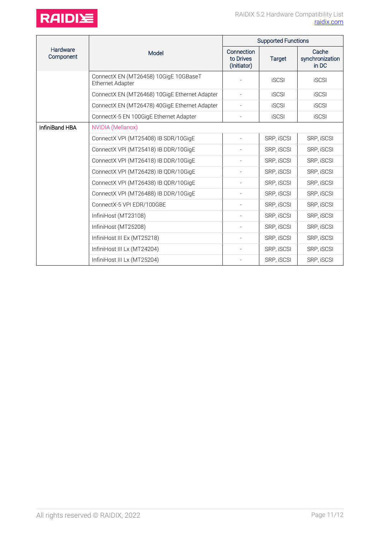

|                       | Model                                                            | <b>Supported Functions</b>             |              |                                   |
|-----------------------|------------------------------------------------------------------|----------------------------------------|--------------|-----------------------------------|
| Hardware<br>Component |                                                                  | Connection<br>to Drives<br>(Initiator) | Target       | Cache<br>synchronization<br>in DC |
|                       | ConnectX EN (MT26458) 10GigE 10GBaseT<br><b>Ethernet Adapter</b> |                                        | <b>iSCSI</b> | <b>iSCSI</b>                      |
|                       | ConnectX EN (MT26468) 10GigE Ethernet Adapter                    |                                        | <b>iSCSI</b> | <b>iSCSI</b>                      |
|                       | ConnectX EN (MT26478) 40GigE Ethernet Adapter                    |                                        | <b>iSCSI</b> | <b>iSCSI</b>                      |
|                       | ConnectX-5 EN 100GigE Ethernet Adapter                           |                                        | <b>iSCSI</b> | <b>iSCSI</b>                      |
| InfiniBand HBA        | NVIDIA (Mellanox)                                                |                                        |              |                                   |
|                       | ConnectX VPI (MT25408) IB SDR/10GigE                             |                                        | SRP, iSCSI   | SRP, iSCSI                        |
|                       | ConnectX VPI (MT25418) IB DDR/10GigE                             |                                        | SRP, iSCSI   | SRP, iSCSI                        |
|                       | ConnectX VPI (MT26418) IB DDR/10GigE                             |                                        | SRP, ISCSI   | SRP, iSCSI                        |
|                       | ConnectX VPI (MT26428) IB QDR/10GigE                             |                                        | SRP, ISCSI   | SRP, iSCSI                        |
|                       | ConnectX VPI (MT26438) IB QDR/10GigE                             |                                        | SRP, ISCSI   | SRP, iSCSI                        |
|                       | ConnectX VPI (MT26488) IB DDR/10GigE                             |                                        | SRP, iSCSI   | SRP, ISCSI                        |
|                       | ConnectX-5 VPI EDR/100GBE                                        |                                        | SRP, iSCSI   | SRP, iSCSI                        |
|                       | InfiniHost (MT23108)                                             |                                        | SRP, ISCSI   | SRP, iSCSI                        |
|                       | InfiniHost (MT25208)                                             |                                        | SRP, ISCSI   | SRP, iSCSI                        |
|                       | InfiniHost III Ex (MT25218)                                      |                                        | SRP, ISCSI   | SRP, iSCSI                        |
|                       | InfiniHost III Lx (MT24204)                                      |                                        | SRP, iSCSI   | SRP, iSCSI                        |
|                       | InfiniHost III Lx (MT25204)                                      |                                        | SRP, iSCSI   | SRP, iSCSI                        |